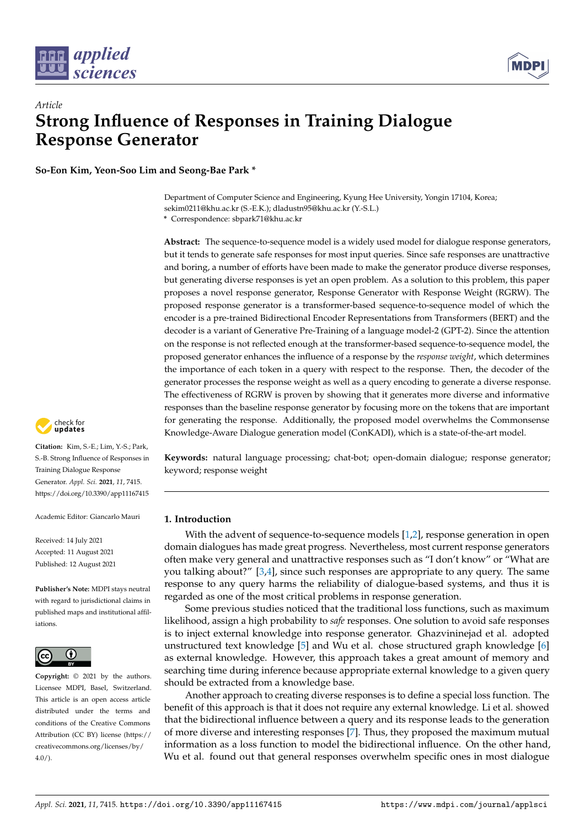



# *Article* **Strong Influence of Responses in Training Dialogue Response Generator**

**So-Eon Kim, Yeon-Soo Lim and Seong-Bae Park \***

Department of Computer Science and Engineering, Kyung Hee University, Yongin 17104, Korea; sekim0211@khu.ac.kr (S.-E.K.); dladustn95@khu.ac.kr (Y.-S.L.)

**\*** Correspondence: sbpark71@khu.ac.kr

**Abstract:** The sequence-to-sequence model is a widely used model for dialogue response generators, but it tends to generate safe responses for most input queries. Since safe responses are unattractive and boring, a number of efforts have been made to make the generator produce diverse responses, but generating diverse responses is yet an open problem. As a solution to this problem, this paper proposes a novel response generator, Response Generator with Response Weight (RGRW). The proposed response generator is a transformer-based sequence-to-sequence model of which the encoder is a pre-trained Bidirectional Encoder Representations from Transformers (BERT) and the decoder is a variant of Generative Pre-Training of a language model-2 (GPT-2). Since the attention on the response is not reflected enough at the transformer-based sequence-to-sequence model, the proposed generator enhances the influence of a response by the *response weight*, which determines the importance of each token in a query with respect to the response. Then, the decoder of the generator processes the response weight as well as a query encoding to generate a diverse response. The effectiveness of RGRW is proven by showing that it generates more diverse and informative responses than the baseline response generator by focusing more on the tokens that are important for generating the response. Additionally, the proposed model overwhelms the Commonsense Knowledge-Aware Dialogue generation model (ConKADI), which is a state-of-the-art model.



**Citation:** Kim, S.-E.; Lim, Y.-S.; Park, S.-B. Strong Influence of Responses in Training Dialogue Response Generator. *Appl. Sci.* **2021**, *11*, 7415. <https://doi.org/10.3390/app11167415>

Academic Editor: Giancarlo Mauri

Received: 14 July 2021 Accepted: 11 August 2021 Published: 12 August 2021

**Publisher's Note:** MDPI stays neutral with regard to jurisdictional claims in published maps and institutional affiliations.



**Copyright:** © 2021 by the authors. Licensee MDPI, Basel, Switzerland. This article is an open access article distributed under the terms and conditions of the Creative Commons Attribution (CC BY) license (https:/[/](https://creativecommons.org/licenses/by/4.0/) [creativecommons.org/licenses/by/](https://creativecommons.org/licenses/by/4.0/)  $4.0/$ ).

**Keywords:** natural language processing; chat-bot; open-domain dialogue; response generator; keyword; response weight

# **1. Introduction**

With the advent of sequence-to-sequence models [\[1](#page-10-0)[,2\]](#page-10-1), response generation in open domain dialogues has made great progress. Nevertheless, most current response generators often make very general and unattractive responses such as "I don't know" or "What are you talking about?" [\[3,](#page-10-2)[4\]](#page-10-3), since such responses are appropriate to any query. The same response to any query harms the reliability of dialogue-based systems, and thus it is regarded as one of the most critical problems in response generation.

Some previous studies noticed that the traditional loss functions, such as maximum likelihood, assign a high probability to *safe* responses. One solution to avoid safe responses is to inject external knowledge into response generator. Ghazvininejad et al. adopted unstructured text knowledge [\[5\]](#page-10-4) and Wu et al. chose structured graph knowledge [\[6\]](#page-10-5) as external knowledge. However, this approach takes a great amount of memory and searching time during inference because appropriate external knowledge to a given query should be extracted from a knowledge base.

Another approach to creating diverse responses is to define a special loss function. The benefit of this approach is that it does not require any external knowledge. Li et al. showed that the bidirectional influence between a query and its response leads to the generation of more diverse and interesting responses [\[7\]](#page-10-6). Thus, they proposed the maximum mutual information as a loss function to model the bidirectional influence. On the other hand, Wu et al. found out that general responses overwhelm specific ones in most dialogue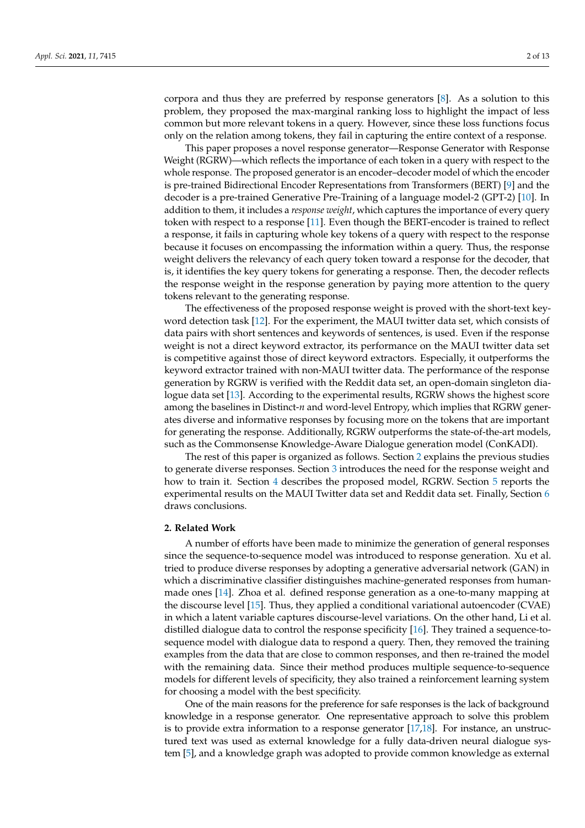corpora and thus they are preferred by response generators [\[8\]](#page-10-7). As a solution to this problem, they proposed the max-marginal ranking loss to highlight the impact of less common but more relevant tokens in a query. However, since these loss functions focus only on the relation among tokens, they fail in capturing the entire context of a response.

This paper proposes a novel response generator—Response Generator with Response Weight (RGRW)—which reflects the importance of each token in a query with respect to the whole response. The proposed generator is an encoder–decoder model of which the encoder is pre-trained Bidirectional Encoder Representations from Transformers (BERT) [\[9\]](#page-10-8) and the decoder is a pre-trained Generative Pre-Training of a language model-2 (GPT-2) [\[10\]](#page-10-9). In addition to them, it includes a *response weight*, which captures the importance of every query token with respect to a response [\[11\]](#page-10-10). Even though the BERT-encoder is trained to reflect a response, it fails in capturing whole key tokens of a query with respect to the response because it focuses on encompassing the information within a query. Thus, the response weight delivers the relevancy of each query token toward a response for the decoder, that is, it identifies the key query tokens for generating a response. Then, the decoder reflects the response weight in the response generation by paying more attention to the query tokens relevant to the generating response.

The effectiveness of the proposed response weight is proved with the short-text keyword detection task [\[12\]](#page-10-11). For the experiment, the MAUI twitter data set, which consists of data pairs with short sentences and keywords of sentences, is used. Even if the response weight is not a direct keyword extractor, its performance on the MAUI twitter data set is competitive against those of direct keyword extractors. Especially, it outperforms the keyword extractor trained with non-MAUI twitter data. The performance of the response generation by RGRW is verified with the Reddit data set, an open-domain singleton dialogue data set [\[13\]](#page-10-12). According to the experimental results, RGRW shows the highest score among the baselines in Distinct-*n* and word-level Entropy, which implies that RGRW generates diverse and informative responses by focusing more on the tokens that are important for generating the response. Additionally, RGRW outperforms the state-of-the-art models, such as the Commonsense Knowledge-Aware Dialogue generation model (ConKADI).

The rest of this paper is organized as follows. Section [2](#page-1-0) explains the previous studies to generate diverse responses. Section [3](#page-2-0) introduces the need for the response weight and how to train it. Section [4](#page-4-0) describes the proposed model, RGRW. Section [5](#page-5-0) reports the experimental results on the MAUI Twitter data set and Reddit data set. Finally, Section [6](#page-9-0) draws conclusions.

#### <span id="page-1-0"></span>**2. Related Work**

A number of efforts have been made to minimize the generation of general responses since the sequence-to-sequence model was introduced to response generation. Xu et al. tried to produce diverse responses by adopting a generative adversarial network (GAN) in which a discriminative classifier distinguishes machine-generated responses from humanmade ones [\[14\]](#page-10-13). Zhoa et al. defined response generation as a one-to-many mapping at the discourse level [\[15\]](#page-10-14). Thus, they applied a conditional variational autoencoder (CVAE) in which a latent variable captures discourse-level variations. On the other hand, Li et al. distilled dialogue data to control the response specificity [\[16\]](#page-10-15). They trained a sequence-tosequence model with dialogue data to respond a query. Then, they removed the training examples from the data that are close to common responses, and then re-trained the model with the remaining data. Since their method produces multiple sequence-to-sequence models for different levels of specificity, they also trained a reinforcement learning system for choosing a model with the best specificity.

One of the main reasons for the preference for safe responses is the lack of background knowledge in a response generator. One representative approach to solve this problem is to provide extra information to a response generator  $[17,18]$  $[17,18]$ . For instance, an unstructured text was used as external knowledge for a fully data-driven neural dialogue system [\[5\]](#page-10-4), and a knowledge graph was adopted to provide common knowledge as external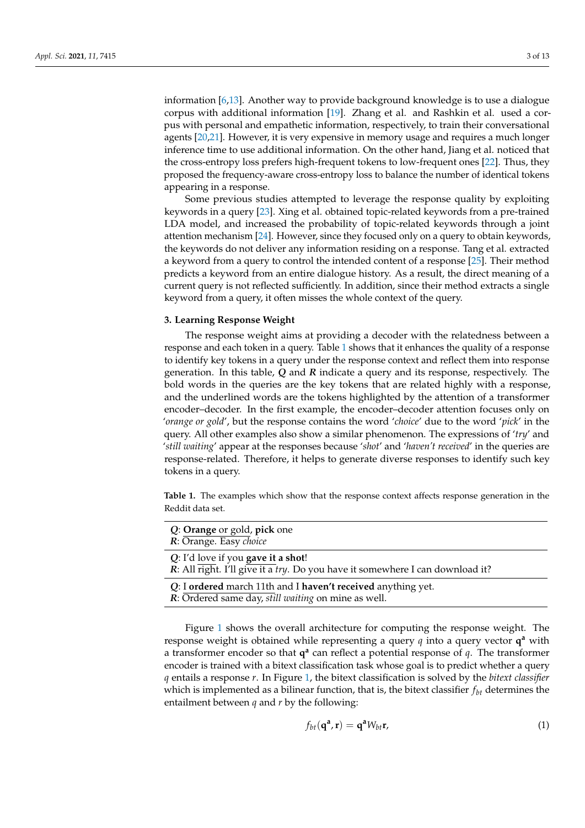information [\[6,](#page-10-5)[13\]](#page-10-12). Another way to provide background knowledge is to use a dialogue corpus with additional information [\[19\]](#page-11-0). Zhang et al. and Rashkin et al. used a corpus with personal and empathetic information, respectively, to train their conversational agents [\[20,](#page-11-1)[21\]](#page-11-2). However, it is very expensive in memory usage and requires a much longer inference time to use additional information. On the other hand, Jiang et al. noticed that the cross-entropy loss prefers high-frequent tokens to low-frequent ones [\[22\]](#page-11-3). Thus, they proposed the frequency-aware cross-entropy loss to balance the number of identical tokens appearing in a response.

Some previous studies attempted to leverage the response quality by exploiting keywords in a query [\[23\]](#page-11-4). Xing et al. obtained topic-related keywords from a pre-trained LDA model, and increased the probability of topic-related keywords through a joint attention mechanism [\[24\]](#page-11-5). However, since they focused only on a query to obtain keywords, the keywords do not deliver any information residing on a response. Tang et al. extracted a keyword from a query to control the intended content of a response [\[25\]](#page-11-6). Their method predicts a keyword from an entire dialogue history. As a result, the direct meaning of a current query is not reflected sufficiently. In addition, since their method extracts a single keyword from a query, it often misses the whole context of the query.

## <span id="page-2-0"></span>**3. Learning Response Weight**

The response weight aims at providing a decoder with the relatedness between a response and each token in a query. Table [1](#page-2-1) shows that it enhances the quality of a response to identify key tokens in a query under the response context and reflect them into response generation. In this table, *Q* and *R* indicate a query and its response, respectively. The bold words in the queries are the key tokens that are related highly with a response, and the underlined words are the tokens highlighted by the attention of a transformer encoder–decoder. In the first example, the encoder–decoder attention focuses only on '*orange or gold*', but the response contains the word '*choice*' due to the word '*pick*' in the query. All other examples also show a similar phenomenon. The expressions of '*try*' and '*still waiting*' appear at the responses because '*shot*' and '*haven't received*' in the queries are response-related. Therefore, it helps to generate diverse responses to identify such key tokens in a query.

<span id="page-2-1"></span>**Table 1.** The examples which show that the response context affects response generation in the Reddit data set.

| Q: Orange or gold, pick one<br>R: Orange. Easy choice                                                               |
|---------------------------------------------------------------------------------------------------------------------|
| Q: I'd love if you gave it a shot!<br>R: All right. I'll give it a try. Do you have it somewhere I can download it? |
| Q: I ordered march 11th and I haven't received anything yet.<br>R: Ordered same day, still waiting on mine as well. |

Figure [1](#page-3-0) shows the overall architecture for computing the response weight. The response weight is obtained while representing a query *q* into a query vector **q <sup>a</sup>** with a transformer encoder so that  $q^a$  can reflect a potential response of q. The transformer encoder is trained with a bitext classification task whose goal is to predict whether a query *q* entails a response *r*. In Figure [1,](#page-3-0) the bitext classification is solved by the *bitext classifier* which is implemented as a bilinear function, that is, the bitext classifier  $f_{bt}$  determines the entailment between *q* and *r* by the following:

$$
f_{bt}(\mathbf{q}^{\mathbf{a}}, \mathbf{r}) = \mathbf{q}^{\mathbf{a}} W_{bt} \mathbf{r}, \tag{1}
$$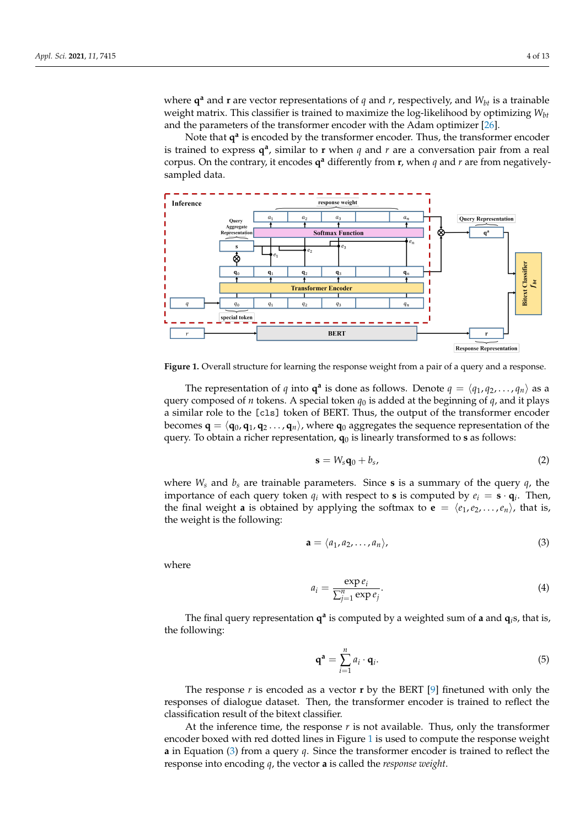where  $\mathbf{q}^{\mathbf{a}}$  and  $\mathbf{r}$  are vector representations of  $q$  and  $r$ , respectively, and  $W_{bt}$  is a trainable weight matrix. This classifier is trained to maximize the log-likelihood by optimizing *Wbt* and the parameters of the transformer encoder with the Adam optimizer [\[26\]](#page-11-7).

Note that  $q^a$  is encoded by the transformer encoder. Thus, the transformer encoder is trained to express  $q^a$ , similar to  $r$  when  $q$  and  $r$  are a conversation pair from a real corpus. On the contrary, it encodes  $q^a$  differently from **r**, when *q* and *r* are from negativelysampled data.

<span id="page-3-0"></span>

**Figure 1.** Overall structure for learning the response weight from a pair of a query and a response.

The representation of *q* into  $\mathbf{q}^{\mathbf{a}}$  is done as follows. Denote  $q = \langle q_1, q_2, \ldots, q_n \rangle$  as a query composed of *n* tokens. A special token  $q_0$  is added at the beginning of  $q$ , and it plays a similar role to the [cls] token of BERT. Thus, the output of the transformer encoder becomes  $\mathbf{q} = \langle \mathbf{q}_0, \mathbf{q}_1, \mathbf{q}_2, \dots, \mathbf{q}_n \rangle$ , where  $\mathbf{q}_0$  aggregates the sequence representation of the query. To obtain a richer representation,  $\mathbf{q}_0$  is linearly transformed to **s** as follows:

$$
\mathbf{s} = W_{s}\mathbf{q}_{0} + b_{s}, \tag{2}
$$

where  $W_s$  and  $b_s$  are trainable parameters. Since **s** is a summary of the query  $q$ , the importance of each query token  $q_i$  with respect to **s** is computed by  $e_i = \mathbf{s} \cdot \mathbf{q}_i$ . Then, the final weight **a** is obtained by applying the softmax to **e** =  $\langle e_1, e_2, \ldots, e_n \rangle$ , that is, the weight is the following:

<span id="page-3-1"></span>
$$
\mathbf{a} = \langle a_1, a_2, \dots, a_n \rangle, \tag{3}
$$

where

<span id="page-3-2"></span>
$$
a_i = \frac{\exp e_i}{\sum_{j=1}^n \exp e_j}.
$$
 (4)

The final query representation **q a** is computed by a weighted sum of **a** and **q***i*s, that is, the following:

$$
\mathbf{q}^{\mathbf{a}} = \sum_{i=1}^{n} a_i \cdot \mathbf{q}_i. \tag{5}
$$

The response  $r$  is encoded as a vector  $r$  by the BERT [\[9\]](#page-10-8) finetuned with only the responses of dialogue dataset. Then, the transformer encoder is trained to reflect the classification result of the bitext classifier.

At the inference time, the response  $r$  is not available. Thus, only the transformer encoder boxed with red dotted lines in Figure [1](#page-3-0) is used to compute the response weight **a** in Equation [\(3\)](#page-3-1) from a query *q*. Since the transformer encoder is trained to reflect the response into encoding *q*, the vector **a** is called the *response weight*.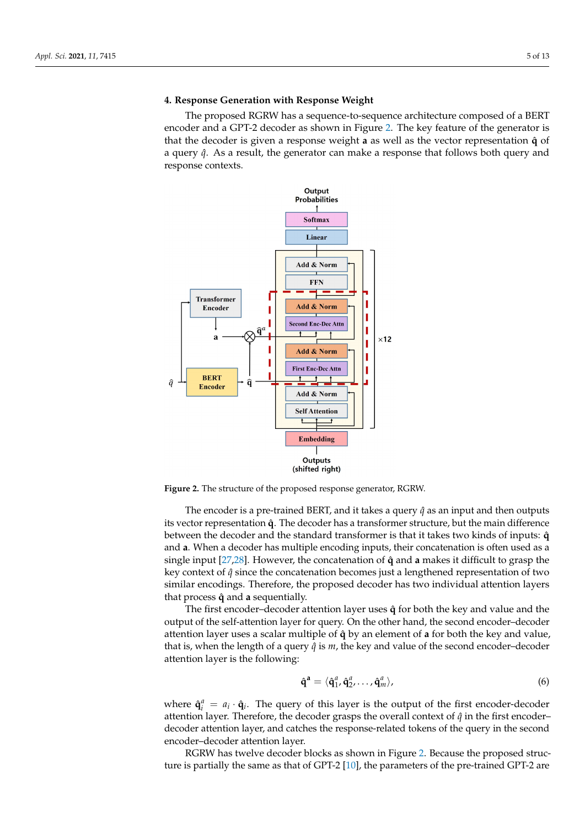# <span id="page-4-0"></span>**4. Response Generation with Response Weight**

The proposed RGRW has a sequence-to-sequence architecture composed of a BERT encoder and a GPT-2 decoder as shown in Figure [2.](#page-4-1) The key feature of the generator is that the decoder is given a response weight a as well as the vector representation  $\hat{q}$  of a query  $\hat{q}$ . As a result, the generator can make a response that follows both query and response contexts.

<span id="page-4-1"></span>

**Figure 2.** The structure of the proposed response generator, RGRW.

The encoder is a pre-trained BERT, and it takes a query  $\hat{q}$  as an input and then outputs its vector representation **q**ˆ. The decoder has a transformer structure, but the main difference between the decoder and the standard transformer is that it takes two kinds of inputs:  $\hat{q}$ and **a**. When a decoder has multiple encoding inputs, their concatenation is often used as a single input [\[27](#page-11-8)[,28\]](#page-11-9). However, the concatenation of **q**ˆ and **a** makes it difficult to grasp the key context of *q*ˆ since the concatenation becomes just a lengthened representation of two similar encodings. Therefore, the proposed decoder has two individual attention layers that process  $\hat{q}$  and **a** sequentially.

The first encoder–decoder attention layer uses  $\hat{q}$  for both the key and value and the output of the self-attention layer for query. On the other hand, the second encoder–decoder attention layer uses a scalar multiple of **q**ˆ by an element of **a** for both the key and value, that is, when the length of a query  $\hat{q}$  is  $m$ , the key and value of the second encoder-decoder attention layer is the following:

$$
\hat{\mathbf{q}}^{\mathbf{a}} = \langle \hat{\mathbf{q}}_1^a, \hat{\mathbf{q}}_2^a, \dots, \hat{\mathbf{q}}_m^a \rangle, \tag{6}
$$

where  $\hat{\mathbf{q}}_i^a = a_i \cdot \hat{\mathbf{q}}_i$ . The query of this layer is the output of the first encoder-decoder attention layer. Therefore, the decoder grasps the overall context of  $\hat{q}$  in the first encoder– decoder attention layer, and catches the response-related tokens of the query in the second encoder–decoder attention layer.

RGRW has twelve decoder blocks as shown in Figure [2.](#page-4-1) Because the proposed structure is partially the same as that of GPT-2 [\[10\]](#page-10-9), the parameters of the pre-trained GPT-2 are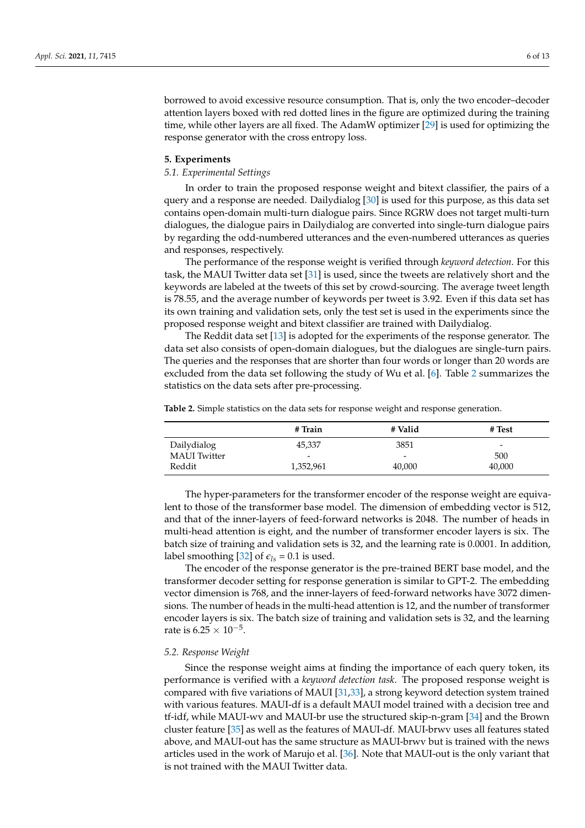borrowed to avoid excessive resource consumption. That is, only the two encoder–decoder attention layers boxed with red dotted lines in the figure are optimized during the training time, while other layers are all fixed. The AdamW optimizer [\[29\]](#page-11-10) is used for optimizing the response generator with the cross entropy loss.

## <span id="page-5-0"></span>**5. Experiments**

### *5.1. Experimental Settings*

In order to train the proposed response weight and bitext classifier, the pairs of a query and a response are needed. Dailydialog [\[30\]](#page-11-11) is used for this purpose, as this data set contains open-domain multi-turn dialogue pairs. Since RGRW does not target multi-turn dialogues, the dialogue pairs in Dailydialog are converted into single-turn dialogue pairs by regarding the odd-numbered utterances and the even-numbered utterances as queries and responses, respectively.

The performance of the response weight is verified through *keyword detection*. For this task, the MAUI Twitter data set [\[31\]](#page-11-12) is used, since the tweets are relatively short and the keywords are labeled at the tweets of this set by crowd-sourcing. The average tweet length is 78.55, and the average number of keywords per tweet is 3.92. Even if this data set has its own training and validation sets, only the test set is used in the experiments since the proposed response weight and bitext classifier are trained with Dailydialog.

The Reddit data set [\[13\]](#page-10-12) is adopted for the experiments of the response generator. The data set also consists of open-domain dialogues, but the dialogues are single-turn pairs. The queries and the responses that are shorter than four words or longer than 20 words are excluded from the data set following the study of Wu et al. [\[6\]](#page-10-5). Table [2](#page-5-1) summarizes the statistics on the data sets after pre-processing.

<span id="page-5-1"></span>**Table 2.** Simple statistics on the data sets for response weight and response generation.

|                     | # Train                  | # Valid                  | # Test                   |
|---------------------|--------------------------|--------------------------|--------------------------|
| Dailydialog         | 45,337                   | 3851                     | $\overline{\phantom{a}}$ |
| <b>MAUI</b> Twitter | $\overline{\phantom{a}}$ | $\overline{\phantom{0}}$ | 500                      |
| Reddit              | 1,352,961                | 40,000                   | 40,000                   |

The hyper-parameters for the transformer encoder of the response weight are equivalent to those of the transformer base model. The dimension of embedding vector is 512, and that of the inner-layers of feed-forward networks is 2048. The number of heads in multi-head attention is eight, and the number of transformer encoder layers is six. The batch size of training and validation sets is 32, and the learning rate is 0.0001. In addition, label smoothing [\[32\]](#page-11-13) of  $\epsilon_{ls}$  = 0.1 is used.

The encoder of the response generator is the pre-trained BERT base model, and the transformer decoder setting for response generation is similar to GPT-2. The embedding vector dimension is 768, and the inner-layers of feed-forward networks have 3072 dimensions. The number of heads in the multi-head attention is 12, and the number of transformer encoder layers is six. The batch size of training and validation sets is 32, and the learning rate is  $6.25 \times 10^{-5}$ .

## *5.2. Response Weight*

Since the response weight aims at finding the importance of each query token, its performance is verified with a *keyword detection task*. The proposed response weight is compared with five variations of MAUI [\[31,](#page-11-12)[33\]](#page-11-14), a strong keyword detection system trained with various features. MAUI-df is a default MAUI model trained with a decision tree and tf-idf, while MAUI-wv and MAUI-br use the structured skip-n-gram [\[34\]](#page-11-15) and the Brown cluster feature [\[35\]](#page-11-16) as well as the features of MAUI-df. MAUI-brwv uses all features stated above, and MAUI-out has the same structure as MAUI-brwv but is trained with the news articles used in the work of Marujo et al. [\[36\]](#page-11-17). Note that MAUI-out is the only variant that is not trained with the MAUI Twitter data.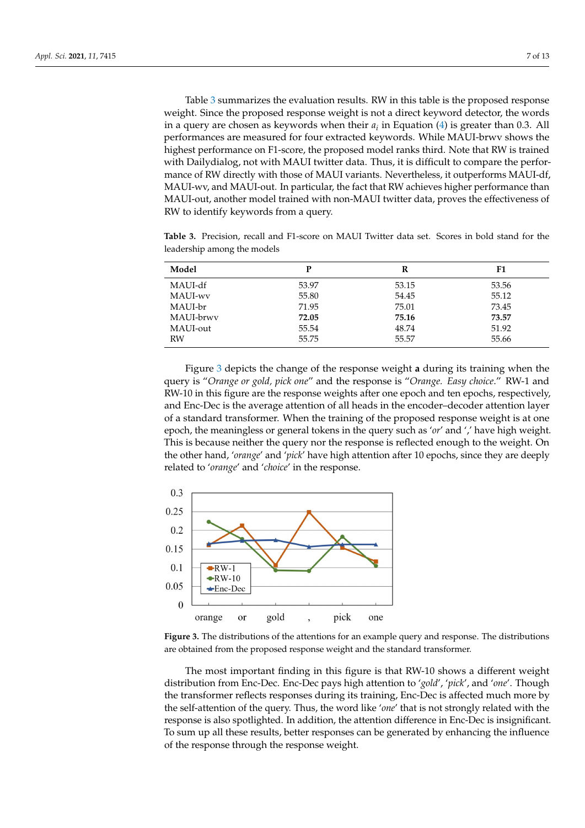Table [3](#page-6-0) summarizes the evaluation results. RW in this table is the proposed response weight. Since the proposed response weight is not a direct keyword detector, the words in a query are chosen as keywords when their *a<sup>i</sup>* in Equation [\(4\)](#page-3-2) is greater than 0.3. All performances are measured for four extracted keywords. While MAUI-brwv shows the highest performance on F1-score, the proposed model ranks third. Note that RW is trained with Dailydialog, not with MAUI twitter data. Thus, it is difficult to compare the performance of RW directly with those of MAUI variants. Nevertheless, it outperforms MAUI-df, MAUI-wv, and MAUI-out. In particular, the fact that RW achieves higher performance than MAUI-out, another model trained with non-MAUI twitter data, proves the effectiveness of RW to identify keywords from a query.

<span id="page-6-0"></span>**Table 3.** Precision, recall and F1-score on MAUI Twitter data set. Scores in bold stand for the leadership among the models

| Model     | P     | R     | F1    |
|-----------|-------|-------|-------|
| MAUI-df   | 53.97 | 53.15 | 53.56 |
| MAUI-wy   | 55.80 | 54.45 | 55.12 |
| MAUI-br   | 71.95 | 75.01 | 73.45 |
| MAUI-brwy | 72.05 | 75.16 | 73.57 |
| MAUI-out  | 55.54 | 48.74 | 51.92 |
| RW        | 55.75 | 55.57 | 55.66 |

Figure [3](#page-6-1) depicts the change of the response weight **a** during its training when the query is "*Orange or gold, pick one*" and the response is "*Orange. Easy choice*." RW-1 and RW-10 in this figure are the response weights after one epoch and ten epochs, respectively, and Enc-Dec is the average attention of all heads in the encoder–decoder attention layer of a standard transformer. When the training of the proposed response weight is at one epoch, the meaningless or general tokens in the query such as '*or*' and ',' have high weight. This is because neither the query nor the response is reflected enough to the weight. On the other hand, '*orange*' and '*pick*' have high attention after 10 epochs, since they are deeply related to '*orange*' and '*choice*' in the response.

<span id="page-6-1"></span>

**Figure 3.** The distributions of the attentions for an example query and response. The distributions are obtained from the proposed response weight and the standard transformer.

The most important finding in this figure is that RW-10 shows a different weight distribution from Enc-Dec. Enc-Dec pays high attention to '*gold*', '*pick*', and '*one*'. Though the transformer reflects responses during its training, Enc-Dec is affected much more by the self-attention of the query. Thus, the word like '*one*' that is not strongly related with the response is also spotlighted. In addition, the attention difference in Enc-Dec is insignificant. To sum up all these results, better responses can be generated by enhancing the influence of the response through the response weight.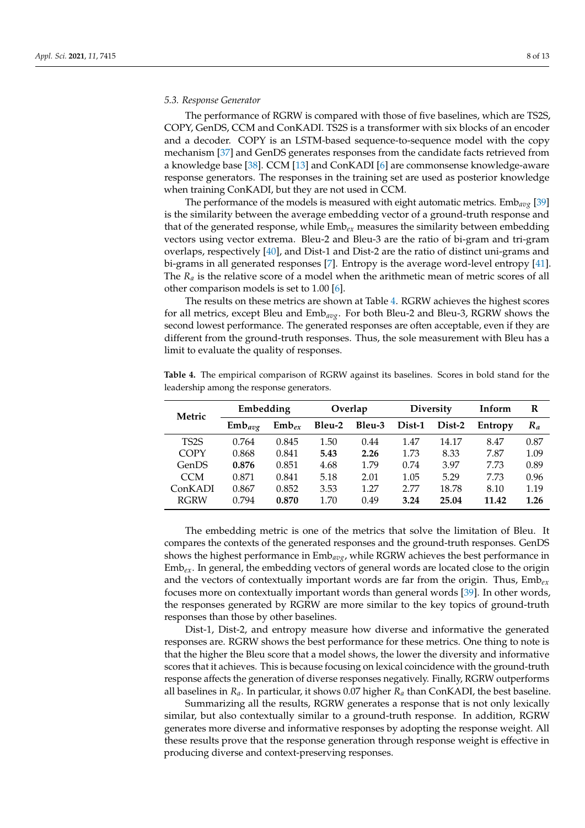#### *5.3. Response Generator*

The performance of RGRW is compared with those of five baselines, which are TS2S, COPY, GenDS, CCM and ConKADI. TS2S is a transformer with six blocks of an encoder and a decoder. COPY is an LSTM-based sequence-to-sequence model with the copy mechanism [\[37\]](#page-11-18) and GenDS generates responses from the candidate facts retrieved from a knowledge base [\[38\]](#page-11-19). CCM [\[13\]](#page-10-12) and ConKADI [\[6\]](#page-10-5) are commonsense knowledge-aware response generators. The responses in the training set are used as posterior knowledge when training ConKADI, but they are not used in CCM.

The performance of the models is measured with eight automatic metrics. Emb*avg* [\[39\]](#page-11-20) is the similarity between the average embedding vector of a ground-truth response and that of the generated response, while Emb*ex* measures the similarity between embedding vectors using vector extrema. Bleu-2 and Bleu-3 are the ratio of bi-gram and tri-gram overlaps, respectively [\[40\]](#page-11-21), and Dist-1 and Dist-2 are the ratio of distinct uni-grams and bi-grams in all generated responses [\[7\]](#page-10-6). Entropy is the average word-level entropy [\[41\]](#page-12-0). The  $R_a$  is the relative score of a model when the arithmetic mean of metric scores of all other comparison models is set to 1.00 [\[6\]](#page-10-5).

The results on these metrics are shown at Table [4.](#page-7-0) RGRW achieves the highest scores for all metrics, except Bleu and Emb*avg*. For both Bleu-2 and Bleu-3, RGRW shows the second lowest performance. The generated responses are often acceptable, even if they are different from the ground-truth responses. Thus, the sole measurement with Bleu has a limit to evaluate the quality of responses.

| Metric            | Embedding   |            | Overlap |        | <b>Diversity</b> |        | Inform  | R     |
|-------------------|-------------|------------|---------|--------|------------------|--------|---------|-------|
|                   | $Emb_{avg}$ | $Emb_{ex}$ | Bleu-2  | Bleu-3 | Dist-1           | Dist-2 | Entropy | $R_a$ |
| TS <sub>2</sub> S | 0.764       | 0.845      | 1.50    | 0.44   | 1.47             | 14.17  | 8.47    | 0.87  |
| <b>COPY</b>       | 0.868       | 0.841      | 5.43    | 2.26   | 1.73             | 8.33   | 7.87    | 1.09  |
| GenDS             | 0.876       | 0.851      | 4.68    | 1.79   | 0.74             | 3.97   | 7.73    | 0.89  |
| <b>CCM</b>        | 0.871       | 0.841      | 5.18    | 2.01   | 1.05             | 5.29   | 7.73    | 0.96  |
| ConKADI           | 0.867       | 0.852      | 3.53    | 1.27   | 2.77             | 18.78  | 8.10    | 1.19  |
| <b>RGRW</b>       | 0.794       | 0.870      | 1.70    | 0.49   | 3.24             | 25.04  | 11.42   | 1.26  |

<span id="page-7-0"></span>**Table 4.** The empirical comparison of RGRW against its baselines. Scores in bold stand for the leadership among the response generators.

The embedding metric is one of the metrics that solve the limitation of Bleu. It compares the contexts of the generated responses and the ground-truth responses. GenDS shows the highest performance in Emb*avg*, while RGRW achieves the best performance in  $Emb_{ex}$ . In general, the embedding vectors of general words are located close to the origin and the vectors of contextually important words are far from the origin. Thus, Emb*ex* focuses more on contextually important words than general words [\[39\]](#page-11-20). In other words, the responses generated by RGRW are more similar to the key topics of ground-truth responses than those by other baselines.

Dist-1, Dist-2, and entropy measure how diverse and informative the generated responses are. RGRW shows the best performance for these metrics. One thing to note is that the higher the Bleu score that a model shows, the lower the diversity and informative scores that it achieves. This is because focusing on lexical coincidence with the ground-truth response affects the generation of diverse responses negatively. Finally, RGRW outperforms all baselines in *Ra*. In particular, it shows 0.07 higher *R<sup>a</sup>* than ConKADI, the best baseline.

Summarizing all the results, RGRW generates a response that is not only lexically similar, but also contextually similar to a ground-truth response. In addition, RGRW generates more diverse and informative responses by adopting the response weight. All these results prove that the response generation through response weight is effective in producing diverse and context-preserving responses.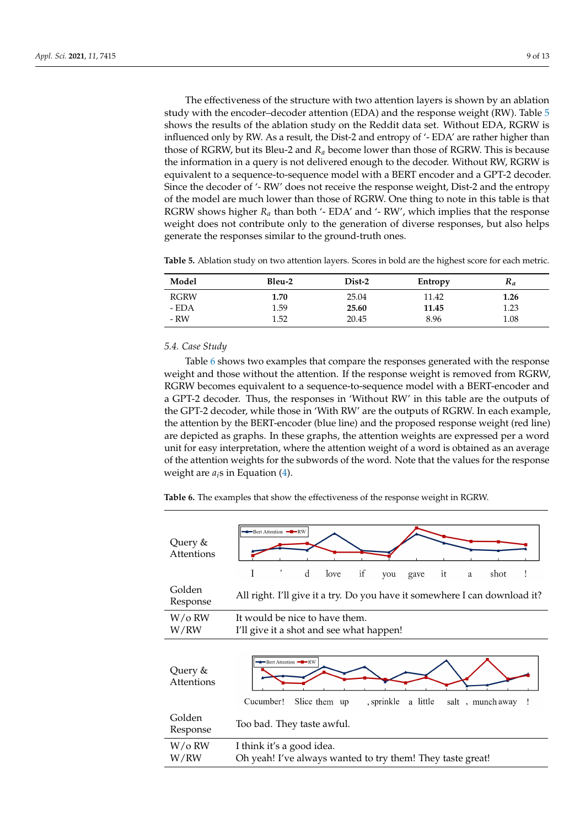The effectiveness of the structure with two attention layers is shown by an ablation study with the encoder–decoder attention (EDA) and the response weight (RW). Table [5](#page-8-0) shows the results of the ablation study on the Reddit data set. Without EDA, RGRW is influenced only by RW. As a result, the Dist-2 and entropy of '- EDA' are rather higher than those of RGRW, but its Bleu-2 and *R<sup>a</sup>* become lower than those of RGRW. This is because the information in a query is not delivered enough to the decoder. Without RW, RGRW is equivalent to a sequence-to-sequence model with a BERT encoder and a GPT-2 decoder. Since the decoder of '- RW' does not receive the response weight, Dist-2 and the entropy of the model are much lower than those of RGRW. One thing to note in this table is that RGRW shows higher  $R_a$  than both  $\prime$ -EDA $\prime$  and  $\prime$ -RW $\prime$ , which implies that the response weight does not contribute only to the generation of diverse responses, but also helps generate the responses similar to the ground-truth ones.

<span id="page-8-0"></span>**Table 5.** Ablation study on two attention layers. Scores in bold are the highest score for each metric.

| Model       | Bleu-2 | Dist-2 | Entropy | $R_a$ |
|-------------|--------|--------|---------|-------|
| <b>RGRW</b> | 1.70   | 25.04  | 11.42   | 1.26  |
| - EDA       | 1.59   | 25.60  | 11.45   | 1.23  |
| - RW        | 1.52   | 20.45  | 8.96    | 1.08  |

# *5.4. Case Study*

Table [6](#page-8-1) shows two examples that compare the responses generated with the response weight and those without the attention. If the response weight is removed from RGRW, RGRW becomes equivalent to a sequence-to-sequence model with a BERT-encoder and a GPT-2 decoder. Thus, the responses in 'Without RW' in this table are the outputs of the GPT-2 decoder, while those in 'With RW' are the outputs of RGRW. In each example, the attention by the BERT-encoder (blue line) and the proposed response weight (red line) are depicted as graphs. In these graphs, the attention weights are expressed per a word unit for easy interpretation, where the attention weight of a word is obtained as an average of the attention weights for the subwords of the word. Note that the values for the response weight are  $a_i$ s in Equation  $(4)$ .

<span id="page-8-1"></span>**Table 6.** The examples that show the effectiveness of the response weight in RGRW.



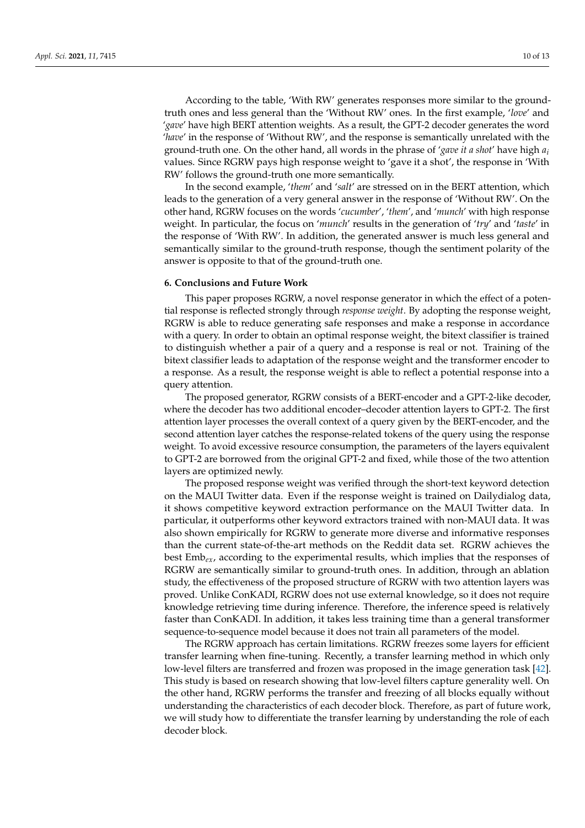According to the table, 'With RW' generates responses more similar to the groundtruth ones and less general than the 'Without RW' ones. In the first example, '*love*' and '*gave*' have high BERT attention weights. As a result, the GPT-2 decoder generates the word '*have*' in the response of 'Without RW', and the response is semantically unrelated with the ground-truth one. On the other hand, all words in the phrase of '*gave it a shot*' have high *a<sup>i</sup>* values. Since RGRW pays high response weight to 'gave it a shot', the response in 'With RW' follows the ground-truth one more semantically.

In the second example, '*them*' and '*salt*' are stressed on in the BERT attention, which leads to the generation of a very general answer in the response of 'Without RW'. On the other hand, RGRW focuses on the words '*cucumber*', '*them*', and '*munch*' with high response weight. In particular, the focus on '*munch*' results in the generation of '*try*' and '*taste*' in the response of 'With RW'. In addition, the generated answer is much less general and semantically similar to the ground-truth response, though the sentiment polarity of the answer is opposite to that of the ground-truth one.

#### <span id="page-9-0"></span>**6. Conclusions and Future Work**

This paper proposes RGRW, a novel response generator in which the effect of a potential response is reflected strongly through *response weight*. By adopting the response weight, RGRW is able to reduce generating safe responses and make a response in accordance with a query. In order to obtain an optimal response weight, the bitext classifier is trained to distinguish whether a pair of a query and a response is real or not. Training of the bitext classifier leads to adaptation of the response weight and the transformer encoder to a response. As a result, the response weight is able to reflect a potential response into a query attention.

The proposed generator, RGRW consists of a BERT-encoder and a GPT-2-like decoder, where the decoder has two additional encoder–decoder attention layers to GPT-2. The first attention layer processes the overall context of a query given by the BERT-encoder, and the second attention layer catches the response-related tokens of the query using the response weight. To avoid excessive resource consumption, the parameters of the layers equivalent to GPT-2 are borrowed from the original GPT-2 and fixed, while those of the two attention layers are optimized newly.

The proposed response weight was verified through the short-text keyword detection on the MAUI Twitter data. Even if the response weight is trained on Dailydialog data, it shows competitive keyword extraction performance on the MAUI Twitter data. In particular, it outperforms other keyword extractors trained with non-MAUI data. It was also shown empirically for RGRW to generate more diverse and informative responses than the current state-of-the-art methods on the Reddit data set. RGRW achieves the best Emb*ex*, according to the experimental results, which implies that the responses of RGRW are semantically similar to ground-truth ones. In addition, through an ablation study, the effectiveness of the proposed structure of RGRW with two attention layers was proved. Unlike ConKADI, RGRW does not use external knowledge, so it does not require knowledge retrieving time during inference. Therefore, the inference speed is relatively faster than ConKADI. In addition, it takes less training time than a general transformer sequence-to-sequence model because it does not train all parameters of the model.

The RGRW approach has certain limitations. RGRW freezes some layers for efficient transfer learning when fine-tuning. Recently, a transfer learning method in which only low-level filters are transferred and frozen was proposed in the image generation task [\[42\]](#page-12-1). This study is based on research showing that low-level filters capture generality well. On the other hand, RGRW performs the transfer and freezing of all blocks equally without understanding the characteristics of each decoder block. Therefore, as part of future work, we will study how to differentiate the transfer learning by understanding the role of each decoder block.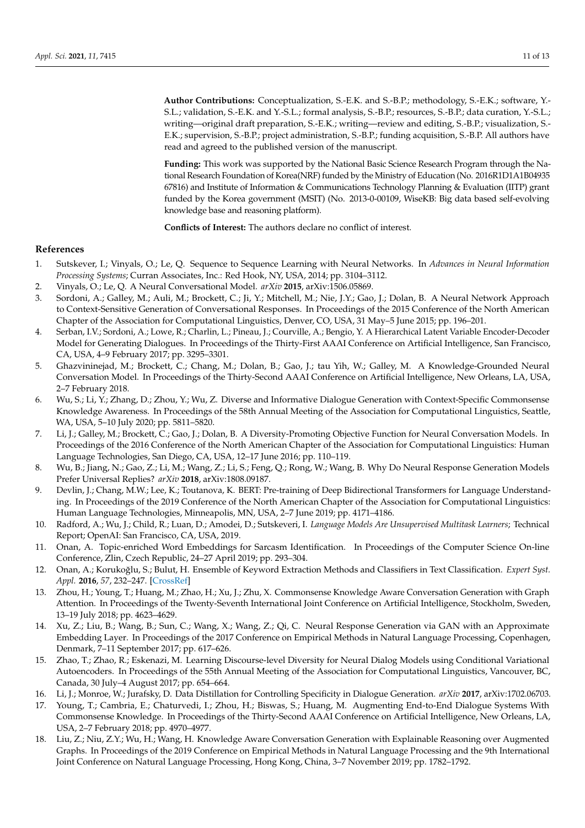**Author Contributions:** Conceptualization, S.-E.K. and S.-B.P.; methodology, S.-E.K.; software, Y.- S.L.; validation, S.-E.K. and Y.-S.L.; formal analysis, S.-B.P.; resources, S.-B.P.; data curation, Y.-S.L.; writing—original draft preparation, S.-E.K.; writing—review and editing, S.-B.P.; visualization, S.- E.K.; supervision, S.-B.P.; project administration, S.-B.P.; funding acquisition, S.-B.P. All authors have read and agreed to the published version of the manuscript.

**Funding:** This work was supported by the National Basic Science Research Program through the National Research Foundation of Korea(NRF) funded by the Ministry of Education (No. 2016R1D1A1B04935 67816) and Institute of Information & Communications Technology Planning & Evaluation (IITP) grant funded by the Korea government (MSIT) (No. 2013-0-00109, WiseKB: Big data based self-evolving knowledge base and reasoning platform).

**Conflicts of Interest:** The authors declare no conflict of interest.

### **References**

- <span id="page-10-0"></span>1. Sutskever, I.; Vinyals, O.; Le, Q. Sequence to Sequence Learning with Neural Networks. In *Advances in Neural Information Processing Systems*; Curran Associates, Inc.: Red Hook, NY, USA, 2014; pp. 3104–3112.
- <span id="page-10-1"></span>2. Vinyals, O.; Le, Q. A Neural Conversational Model. *arXiv* **2015**, arXiv:1506.05869.
- <span id="page-10-2"></span>3. Sordoni, A.; Galley, M.; Auli, M.; Brockett, C.; Ji, Y.; Mitchell, M.; Nie, J.Y.; Gao, J.; Dolan, B. A Neural Network Approach to Context-Sensitive Generation of Conversational Responses. In Proceedings of the 2015 Conference of the North American Chapter of the Association for Computational Linguistics, Denver, CO, USA, 31 May–5 June 2015; pp. 196–201.
- <span id="page-10-3"></span>4. Serban, I.V.; Sordoni, A.; Lowe, R.; Charlin, L.; Pineau, J.; Courville, A.; Bengio, Y. A Hierarchical Latent Variable Encoder-Decoder Model for Generating Dialogues. In Proceedings of the Thirty-First AAAI Conference on Artificial Intelligence, San Francisco, CA, USA, 4–9 February 2017; pp. 3295–3301.
- <span id="page-10-4"></span>5. Ghazvininejad, M.; Brockett, C.; Chang, M.; Dolan, B.; Gao, J.; tau Yih, W.; Galley, M. A Knowledge-Grounded Neural Conversation Model. In Proceedings of the Thirty-Second AAAI Conference on Artificial Intelligence, New Orleans, LA, USA, 2–7 February 2018.
- <span id="page-10-5"></span>6. Wu, S.; Li, Y.; Zhang, D.; Zhou, Y.; Wu, Z. Diverse and Informative Dialogue Generation with Context-Specific Commonsense Knowledge Awareness. In Proceedings of the 58th Annual Meeting of the Association for Computational Linguistics, Seattle, WA, USA, 5–10 July 2020; pp. 5811–5820.
- <span id="page-10-6"></span>7. Li, J.; Galley, M.; Brockett, C.; Gao, J.; Dolan, B. A Diversity-Promoting Objective Function for Neural Conversation Models. In Proceedings of the 2016 Conference of the North American Chapter of the Association for Computational Linguistics: Human Language Technologies, San Diego, CA, USA, 12–17 June 2016; pp. 110–119.
- <span id="page-10-7"></span>8. Wu, B.; Jiang, N.; Gao, Z.; Li, M.; Wang, Z.; Li, S.; Feng, Q.; Rong, W.; Wang, B. Why Do Neural Response Generation Models Prefer Universal Replies? *arXiv* **2018**, arXiv:1808.09187.
- <span id="page-10-8"></span>9. Devlin, J.; Chang, M.W.; Lee, K.; Toutanova, K. BERT: Pre-training of Deep Bidirectional Transformers for Language Understanding. In Proceedings of the 2019 Conference of the North American Chapter of the Association for Computational Linguistics: Human Language Technologies, Minneapolis, MN, USA, 2–7 June 2019; pp. 4171–4186.
- <span id="page-10-9"></span>10. Radford, A.; Wu, J.; Child, R.; Luan, D.; Amodei, D.; Sutskeveri, I. *Language Models Are Unsupervised Multitask Learners*; Technical Report; OpenAI: San Francisco, CA, USA, 2019.
- <span id="page-10-10"></span>11. Onan, A. Topic-enriched Word Embeddings for Sarcasm Identification. In Proceedings of the Computer Science On-line Conference, Zlin, Czech Republic, 24–27 April 2019; pp. 293–304.
- <span id="page-10-11"></span>12. Onan, A.; Korukoğlu, S.; Bulut, H. Ensemble of Keyword Extraction Methods and Classifiers in Text Classification. *Expert Syst. Appl.* **2016**, *57*, 232–247. [\[CrossRef\]](http://doi.org/10.1016/j.eswa.2016.03.045)
- <span id="page-10-12"></span>13. Zhou, H.; Young, T.; Huang, M.; Zhao, H.; Xu, J.; Zhu, X. Commonsense Knowledge Aware Conversation Generation with Graph Attention. In Proceedings of the Twenty-Seventh International Joint Conference on Artificial Intelligence, Stockholm, Sweden, 13–19 July 2018; pp. 4623–4629.
- <span id="page-10-13"></span>14. Xu, Z.; Liu, B.; Wang, B.; Sun, C.; Wang, X.; Wang, Z.; Qi, C. Neural Response Generation via GAN with an Approximate Embedding Layer. In Proceedings of the 2017 Conference on Empirical Methods in Natural Language Processing, Copenhagen, Denmark, 7–11 September 2017; pp. 617–626.
- <span id="page-10-14"></span>15. Zhao, T.; Zhao, R.; Eskenazi, M. Learning Discourse-level Diversity for Neural Dialog Models using Conditional Variational Autoencoders. In Proceedings of the 55th Annual Meeting of the Association for Computational Linguistics, Vancouver, BC, Canada, 30 July–4 August 2017; pp. 654–664.
- <span id="page-10-15"></span>16. Li, J.; Monroe, W.; Jurafsky, D. Data Distillation for Controlling Specificity in Dialogue Generation. *arXiv* **2017**, arXiv:1702.06703.
- <span id="page-10-16"></span>17. Young, T.; Cambria, E.; Chaturvedi, I.; Zhou, H.; Biswas, S.; Huang, M. Augmenting End-to-End Dialogue Systems With Commonsense Knowledge. In Proceedings of the Thirty-Second AAAI Conference on Artificial Intelligence, New Orleans, LA, USA, 2–7 February 2018; pp. 4970–4977.
- <span id="page-10-17"></span>18. Liu, Z.; Niu, Z.Y.; Wu, H.; Wang, H. Knowledge Aware Conversation Generation with Explainable Reasoning over Augmented Graphs. In Proceedings of the 2019 Conference on Empirical Methods in Natural Language Processing and the 9th International Joint Conference on Natural Language Processing, Hong Kong, China, 3–7 November 2019; pp. 1782–1792.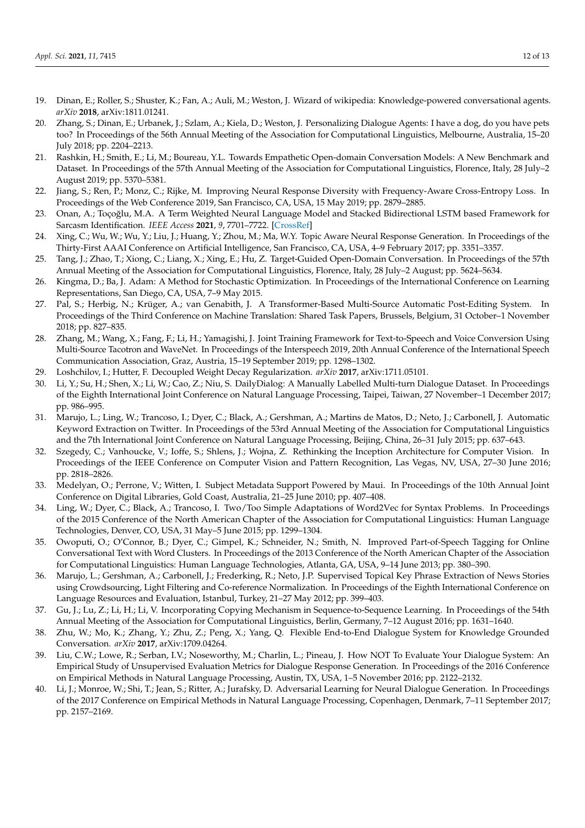- <span id="page-11-0"></span>19. Dinan, E.; Roller, S.; Shuster, K.; Fan, A.; Auli, M.; Weston, J. Wizard of wikipedia: Knowledge-powered conversational agents. *arXiv* **2018**, arXiv:1811.01241.
- <span id="page-11-1"></span>20. Zhang, S.; Dinan, E.; Urbanek, J.; Szlam, A.; Kiela, D.; Weston, J. Personalizing Dialogue Agents: I have a dog, do you have pets too? In Proceedings of the 56th Annual Meeting of the Association for Computational Linguistics, Melbourne, Australia, 15–20 July 2018; pp. 2204–2213.
- <span id="page-11-2"></span>21. Rashkin, H.; Smith, E.; Li, M.; Boureau, Y.L. Towards Empathetic Open-domain Conversation Models: A New Benchmark and Dataset. In Proceedings of the 57th Annual Meeting of the Association for Computational Linguistics, Florence, Italy, 28 July–2 August 2019; pp. 5370–5381.
- <span id="page-11-3"></span>22. Jiang, S.; Ren, P.; Monz, C.; Rijke, M. Improving Neural Response Diversity with Frequency-Aware Cross-Entropy Loss. In Proceedings of the Web Conference 2019, San Francisco, CA, USA, 15 May 2019; pp. 2879–2885.
- <span id="page-11-4"></span>23. Onan, A.; Toçoğlu, M.A. A Term Weighted Neural Language Model and Stacked Bidirectional LSTM based Framework for Sarcasm Identification. *IEEE Access* **2021**, *9*, 7701–7722. [\[CrossRef\]](http://dx.doi.org/10.1109/ACCESS.2021.3049734)
- <span id="page-11-5"></span>24. Xing, C.; Wu, W.; Wu, Y.; Liu, J.; Huang, Y.; Zhou, M.; Ma, W.Y. Topic Aware Neural Response Generation. In Proceedings of the Thirty-First AAAI Conference on Artificial Intelligence, San Francisco, CA, USA, 4–9 February 2017; pp. 3351–3357.
- <span id="page-11-6"></span>25. Tang, J.; Zhao, T.; Xiong, C.; Liang, X.; Xing, E.; Hu, Z. Target-Guided Open-Domain Conversation. In Proceedings of the 57th Annual Meeting of the Association for Computational Linguistics, Florence, Italy, 28 July–2 August; pp. 5624–5634.
- <span id="page-11-7"></span>26. Kingma, D.; Ba, J. Adam: A Method for Stochastic Optimization. In Proceedings of the International Conference on Learning Representations, San Diego, CA, USA, 7–9 May 2015.
- <span id="page-11-8"></span>27. Pal, S.; Herbig, N.; Krüger, A.; van Genabith, J. A Transformer-Based Multi-Source Automatic Post-Editing System. In Proceedings of the Third Conference on Machine Translation: Shared Task Papers, Brussels, Belgium, 31 October–1 November 2018; pp. 827–835.
- <span id="page-11-9"></span>28. Zhang, M.; Wang, X.; Fang, F.; Li, H.; Yamagishi, J. Joint Training Framework for Text-to-Speech and Voice Conversion Using Multi-Source Tacotron and WaveNet. In Proceedings of the Interspeech 2019, 20th Annual Conference of the International Speech Communication Association, Graz, Austria, 15–19 September 2019; pp. 1298–1302.
- <span id="page-11-10"></span>29. Loshchilov, I.; Hutter, F. Decoupled Weight Decay Regularization. *arXiv* **2017**, arXiv:1711.05101.
- <span id="page-11-11"></span>30. Li, Y.; Su, H.; Shen, X.; Li, W.; Cao, Z.; Niu, S. DailyDialog: A Manually Labelled Multi-turn Dialogue Dataset. In Proceedings of the Eighth International Joint Conference on Natural Language Processing, Taipei, Taiwan, 27 November–1 December 2017; pp. 986–995.
- <span id="page-11-12"></span>31. Marujo, L.; Ling, W.; Trancoso, I.; Dyer, C.; Black, A.; Gershman, A.; Martins de Matos, D.; Neto, J.; Carbonell, J. Automatic Keyword Extraction on Twitter. In Proceedings of the 53rd Annual Meeting of the Association for Computational Linguistics and the 7th International Joint Conference on Natural Language Processing, Beijing, China, 26–31 July 2015; pp. 637–643.
- <span id="page-11-13"></span>32. Szegedy, C.; Vanhoucke, V.; Ioffe, S.; Shlens, J.; Wojna, Z. Rethinking the Inception Architecture for Computer Vision. In Proceedings of the IEEE Conference on Computer Vision and Pattern Recognition, Las Vegas, NV, USA, 27–30 June 2016; pp. 2818–2826.
- <span id="page-11-14"></span>33. Medelyan, O.; Perrone, V.; Witten, I. Subject Metadata Support Powered by Maui. In Proceedings of the 10th Annual Joint Conference on Digital Libraries, Gold Coast, Australia, 21–25 June 2010; pp. 407–408.
- <span id="page-11-15"></span>34. Ling, W.; Dyer, C.; Black, A.; Trancoso, I. Two/Too Simple Adaptations of Word2Vec for Syntax Problems. In Proceedings of the 2015 Conference of the North American Chapter of the Association for Computational Linguistics: Human Language Technologies, Denver, CO, USA, 31 May–5 June 2015; pp. 1299–1304.
- <span id="page-11-16"></span>35. Owoputi, O.; O'Connor, B.; Dyer, C.; Gimpel, K.; Schneider, N.; Smith, N. Improved Part-of-Speech Tagging for Online Conversational Text with Word Clusters. In Proceedings of the 2013 Conference of the North American Chapter of the Association for Computational Linguistics: Human Language Technologies, Atlanta, GA, USA, 9–14 June 2013; pp. 380–390.
- <span id="page-11-17"></span>36. Marujo, L.; Gershman, A.; Carbonell, J.; Frederking, R.; Neto, J.P. Supervised Topical Key Phrase Extraction of News Stories using Crowdsourcing, Light Filtering and Co-reference Normalization. In Proceedings of the Eighth International Conference on Language Resources and Evaluation, Istanbul, Turkey, 21–27 May 2012; pp. 399–403.
- <span id="page-11-18"></span>37. Gu, J.; Lu, Z.; Li, H.; Li, V. Incorporating Copying Mechanism in Sequence-to-Sequence Learning. In Proceedings of the 54th Annual Meeting of the Association for Computational Linguistics, Berlin, Germany, 7–12 August 2016; pp. 1631–1640.
- <span id="page-11-19"></span>38. Zhu, W.; Mo, K.; Zhang, Y.; Zhu, Z.; Peng, X.; Yang, Q. Flexible End-to-End Dialogue System for Knowledge Grounded Conversation. *arXiv* **2017**, arXiv:1709.04264.
- <span id="page-11-20"></span>39. Liu, C.W.; Lowe, R.; Serban, I.V.; Noseworthy, M.; Charlin, L.; Pineau, J. How NOT To Evaluate Your Dialogue System: An Empirical Study of Unsupervised Evaluation Metrics for Dialogue Response Generation. In Proceedings of the 2016 Conference on Empirical Methods in Natural Language Processing, Austin, TX, USA, 1–5 November 2016; pp. 2122–2132.
- <span id="page-11-21"></span>40. Li, J.; Monroe, W.; Shi, T.; Jean, S.; Ritter, A.; Jurafsky, D. Adversarial Learning for Neural Dialogue Generation. In Proceedings of the 2017 Conference on Empirical Methods in Natural Language Processing, Copenhagen, Denmark, 7–11 September 2017; pp. 2157–2169.